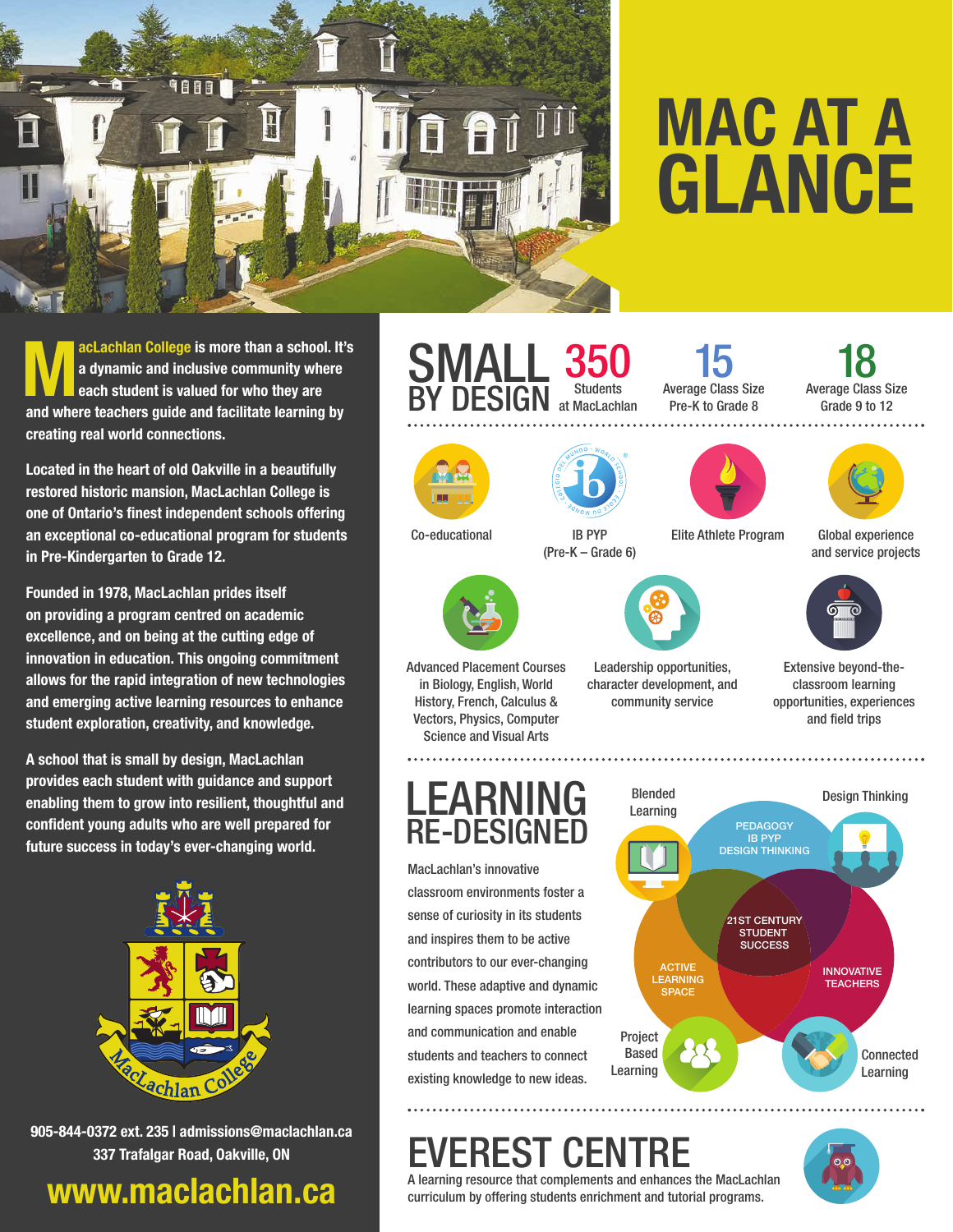

# **MAC AT A GLANCE**

**MacLachlan College is more than a school. It's**<br>**Madynamic and inclusive community where**<br>and where teachers with and failitate learning by **a dynamic and inclusive community where each student is valued for who they are and where teachers guide and facilitate learning by creating real world connections.** 

**Located in the heart of old Oakville in a beautifully restored historic mansion, MacLachlan College is one of Ontario's finest independent schools offering an exceptional co-educational program for students in Pre-Kindergarten to Grade 12.** 

**Founded in 1978, MacLachlan prides itself on providing a program centred on academic excellence, and on being at the cutting edge of innovation in education. This ongoing commitment allows for the rapid integration of new technologies and emerging active learning resources to enhance student exploration, creativity, and knowledge.**

**A school that is small by design, MacLachlan provides each student with guidance and support enabling them to grow into resilient, thoughtful and confident young adults who are well prepared for future success in today's ever-changing world.** 



**905-844-0372 ext. 235 | admissions@maclachlan.ca 337 Trafalgar Road, Oakville, ON**

## **www.maclachlan.ca**

#### **SMALL** BY DESIGN 350 Students at MacLachlan





Co-educational IB PYP

LEARNING RE-DESIGNED

classroom environments foster a sense of curiosity in its students and inspires them to be active contributors to our ever-changing

and communication and enable students and teachers to connect existing knowledge to new ideas.

MacLachlan's innovative

Advanced Placement Courses in Biology, English, World History, French, Calculus & Vectors, Physics, Computer Science and Visual Arts



15





(Pre-K – Grade 6)

Leadership opportunities, character development, and community service

Elite Athlete Program

Global experience and service projects



Extensive beyond-theclassroom learning opportunities, experiences and field trips



## EREST CEN

A learning resource that complements and enhances the MacLachlan curriculum by offering students enrichment and tutorial programs.